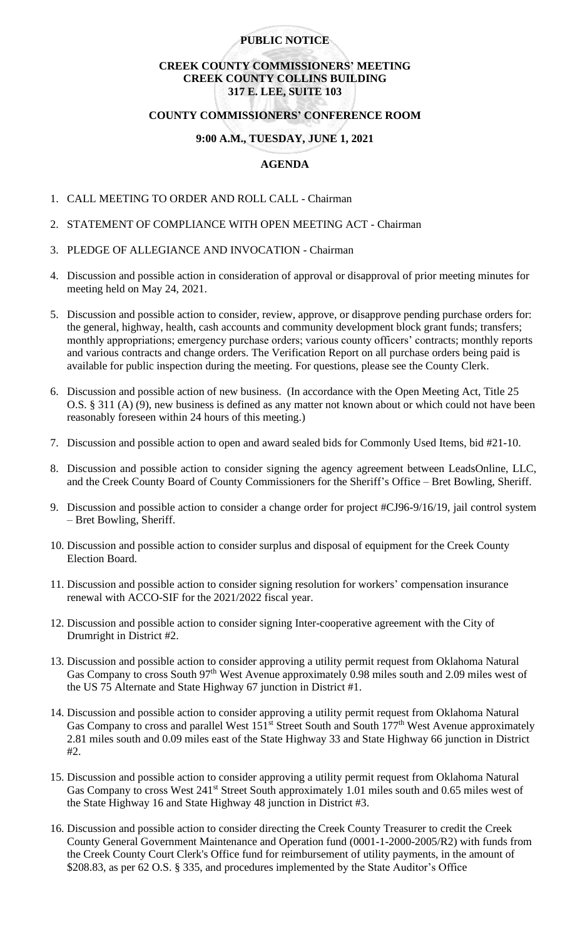### **PUBLIC NOTICE**

# **CREEK COUNTY COMMISSIONERS' MEETING CREEK COUNTY COLLINS BUILDING 317 E. LEE, SUITE 103**

# **COUNTY COMMISSIONERS' CONFERENCE ROOM**

### **9:00 A.M., TUESDAY, JUNE 1, 2021**

## **AGENDA**

- 1. CALL MEETING TO ORDER AND ROLL CALL Chairman
- 2. STATEMENT OF COMPLIANCE WITH OPEN MEETING ACT Chairman
- 3. PLEDGE OF ALLEGIANCE AND INVOCATION Chairman
- 4. Discussion and possible action in consideration of approval or disapproval of prior meeting minutes for meeting held on May 24, 2021.
- 5. Discussion and possible action to consider, review, approve, or disapprove pending purchase orders for: the general, highway, health, cash accounts and community development block grant funds; transfers; monthly appropriations; emergency purchase orders; various county officers' contracts; monthly reports and various contracts and change orders. The Verification Report on all purchase orders being paid is available for public inspection during the meeting. For questions, please see the County Clerk.
- 6. Discussion and possible action of new business. (In accordance with the Open Meeting Act, Title 25 O.S. § 311 (A) (9), new business is defined as any matter not known about or which could not have been reasonably foreseen within 24 hours of this meeting.)
- 7. Discussion and possible action to open and award sealed bids for Commonly Used Items, bid #21-10.
- 8. Discussion and possible action to consider signing the agency agreement between LeadsOnline, LLC, and the Creek County Board of County Commissioners for the Sheriff's Office – Bret Bowling, Sheriff.
- 9. Discussion and possible action to consider a change order for project #CJ96-9/16/19, jail control system – Bret Bowling, Sheriff.
- 10. Discussion and possible action to consider surplus and disposal of equipment for the Creek County Election Board.
- 11. Discussion and possible action to consider signing resolution for workers' compensation insurance renewal with ACCO-SIF for the 2021/2022 fiscal year.
- 12. Discussion and possible action to consider signing Inter-cooperative agreement with the City of Drumright in District #2.
- 13. Discussion and possible action to consider approving a utility permit request from Oklahoma Natural Gas Company to cross South 97<sup>th</sup> West Avenue approximately 0.98 miles south and 2.09 miles west of the US 75 Alternate and State Highway 67 junction in District #1.
- 14. Discussion and possible action to consider approving a utility permit request from Oklahoma Natural Gas Company to cross and parallel West 151<sup>st</sup> Street South and South 177<sup>th</sup> West Avenue approximately 2.81 miles south and 0.09 miles east of the State Highway 33 and State Highway 66 junction in District #2.
- 15. Discussion and possible action to consider approving a utility permit request from Oklahoma Natural Gas Company to cross West 241<sup>st</sup> Street South approximately 1.01 miles south and 0.65 miles west of the State Highway 16 and State Highway 48 junction in District #3.
- 16. Discussion and possible action to consider directing the Creek County Treasurer to credit the Creek County General Government Maintenance and Operation fund (0001-1-2000-2005/R2) with funds from the Creek County Court Clerk's Office fund for reimbursement of utility payments, in the amount of \$208.83, as per 62 O.S. § 335, and procedures implemented by the State Auditor's Office